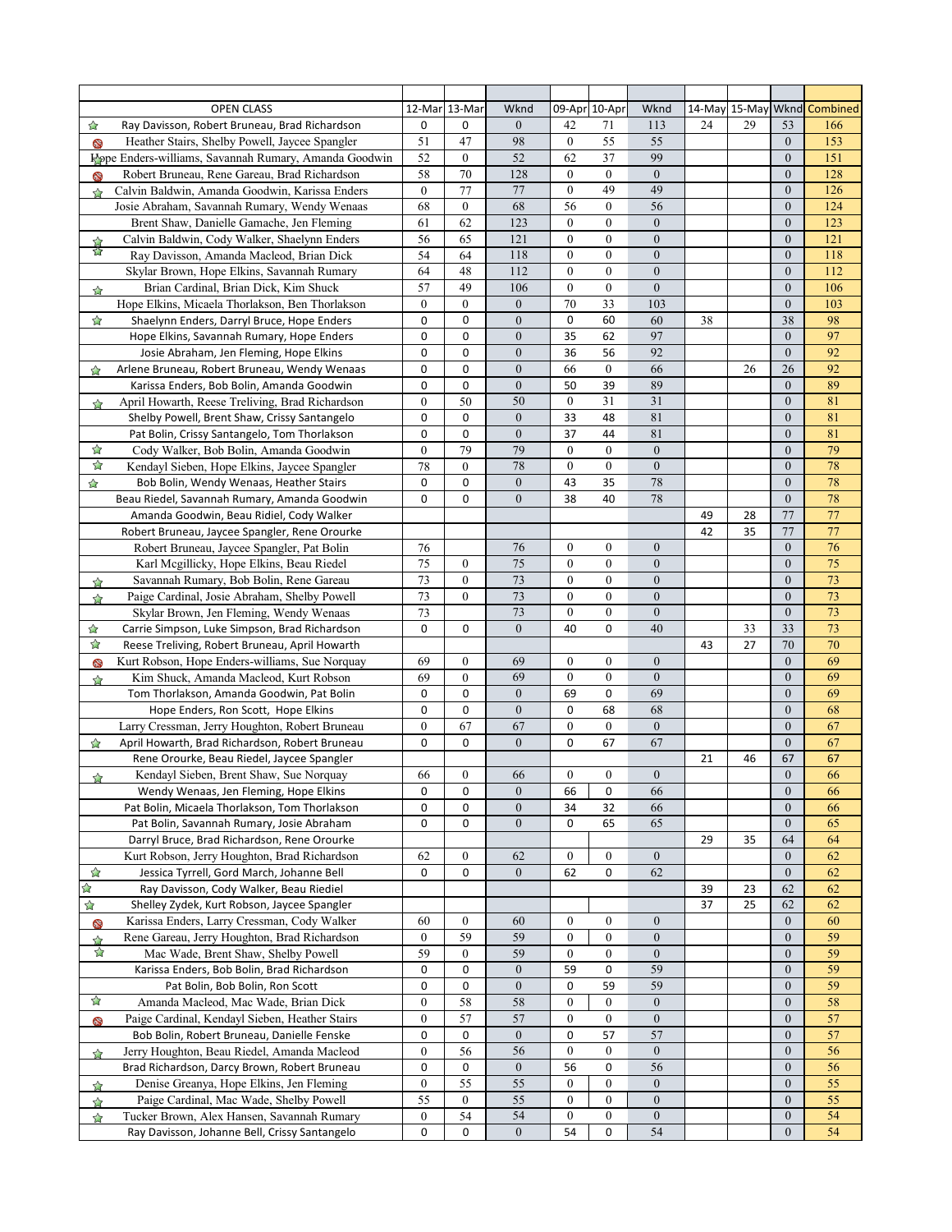| <b>OPEN CLASS</b>                                                            | 12-Mar 13-Mar    |                  | Wknd             |                  | 09-Apr 10-Apr    | Wknd             |    |    |                  | 14-May 15-May Wknd Combined |
|------------------------------------------------------------------------------|------------------|------------------|------------------|------------------|------------------|------------------|----|----|------------------|-----------------------------|
| Ray Davisson, Robert Bruneau, Brad Richardson<br>☆                           | 0                | 0                | $\boldsymbol{0}$ | 42               | 71               | 113              | 24 | 29 | 53               | 166                         |
| Heather Stairs, Shelby Powell, Jaycee Spangler<br>69                         | 51               | 47               | 98               | $\boldsymbol{0}$ | 55               | 55               |    |    | $\mathbf{0}$     | 153                         |
| Hope Enders-williams, Savannah Rumary, Amanda Goodwin                        | 52               | $\mathbf{0}$     | 52               | 62               | 37               | 99               |    |    | $\mathbf{0}$     | 151                         |
| Robert Bruneau, Rene Gareau, Brad Richardson<br>❤                            | 58               | 70               | 128              | $\overline{0}$   | $\mathbf{0}$     | $\boldsymbol{0}$ |    |    | $\mathbf{0}$     | 128                         |
| Calvin Baldwin, Amanda Goodwin, Karissa Enders<br>$\rightarrow$              | $\overline{0}$   | 77               | 77               | $\mathbf{0}$     | 49               | 49               |    |    | $\mathbf{0}$     | 126                         |
| Josie Abraham, Savannah Rumary, Wendy Wenaas                                 | 68               | $\mathbf{0}$     | 68               | 56               | $\boldsymbol{0}$ | 56               |    |    | $\mathbf{0}$     | 124                         |
| Brent Shaw, Danielle Gamache, Jen Fleming                                    | 61               | 62               | 123              | $\overline{0}$   | $\mathbf{0}$     | $\overline{0}$   |    |    | $\mathbf{0}$     | 123                         |
| Calvin Baldwin, Cody Walker, Shaelynn Enders                                 | 56               | 65               | 121              | $\overline{0}$   | $\mathbf{0}$     | $\boldsymbol{0}$ |    |    | $\mathbf{0}$     | 121                         |
| XX<br>Ray Davisson, Amanda Macleod, Brian Dick                               | 54               | 64               | 118              | $\mathbf{0}$     | $\mathbf{0}$     | $\boldsymbol{0}$ |    |    | $\mathbf{0}$     | 118                         |
| Skylar Brown, Hope Elkins, Savannah Rumary                                   | 64               | 48               | 112              | $\overline{0}$   | $\mathbf{0}$     | $\boldsymbol{0}$ |    |    | $\mathbf{0}$     | 112                         |
| Brian Cardinal, Brian Dick, Kim Shuck<br>☆                                   | 57               | 49               | 106              | $\mathbf{0}$     | $\mathbf{0}$     | $\boldsymbol{0}$ |    |    | $\mathbf{0}$     | 106                         |
| Hope Elkins, Micaela Thorlakson, Ben Thorlakson                              | $\overline{0}$   | $\mathbf{0}$     | $\mathbf{0}$     | 70               | 33               | 103              |    |    | $\mathbf{0}$     | 103                         |
| ☆<br>Shaelynn Enders, Darryl Bruce, Hope Enders                              | 0                | 0                | $\mathbf{0}$     | 0                | 60               | 60               | 38 |    | 38               | 98                          |
| Hope Elkins, Savannah Rumary, Hope Enders                                    | 0                | 0                | $\overline{0}$   | 35               | 62               | 97               |    |    | $\mathbf{0}$     | 97                          |
| Josie Abraham, Jen Fleming, Hope Elkins                                      | 0                | 0                | $\boldsymbol{0}$ | 36               | 56               | 92               |    |    | $\mathbf{0}$     | 92                          |
| Arlene Bruneau, Robert Bruneau, Wendy Wenaas<br>☆                            | 0                | 0                | $\boldsymbol{0}$ | 66               | $\boldsymbol{0}$ | 66               |    | 26 | 26               | 92                          |
| Karissa Enders, Bob Bolin, Amanda Goodwin                                    | 0                | 0                | $\boldsymbol{0}$ | 50               | 39               | 89               |    |    | $\mathbf{0}$     | 89                          |
| April Howarth, Reese Treliving, Brad Richardson                              | $\overline{0}$   | 50               | 50               | $\boldsymbol{0}$ | 31               | 31               |    |    | $\mathbf{0}$     | 81                          |
| ☆<br>Shelby Powell, Brent Shaw, Crissy Santangelo                            | 0                | 0                | $\boldsymbol{0}$ | 33               | 48               | 81               |    |    | $\mathbf{0}$     | 81                          |
| Pat Bolin, Crissy Santangelo, Tom Thorlakson                                 | 0                | 0                | $\overline{0}$   | 37               | 44               | 81               |    |    | $\mathbf{0}$     | 81                          |
| ☆<br>Cody Walker, Bob Bolin, Amanda Goodwin                                  | $\overline{0}$   | 79               | 79               | $\boldsymbol{0}$ | $\mathbf{0}$     | $\boldsymbol{0}$ |    |    | $\mathbf{0}$     | 79                          |
| ☆                                                                            | 78               | $\mathbf{0}$     | 78               | $\mathbf{0}$     | $\mathbf{0}$     | $\overline{0}$   |    |    | $\mathbf{0}$     | 78                          |
| Kendayl Sieben, Hope Elkins, Jaycee Spangler                                 |                  | 0                | $\boldsymbol{0}$ |                  |                  |                  |    |    | $\mathbf{0}$     | 78                          |
| $\overleftrightarrow{\mathbf{k}}$<br>Bob Bolin, Wendy Wenaas, Heather Stairs | 0<br>0           | 0                | $\boldsymbol{0}$ | 43               | 35               | $78\,$<br>78     |    |    | $\mathbf{0}$     | 78                          |
| Beau Riedel, Savannah Rumary, Amanda Goodwin                                 |                  |                  |                  | 38               | 40               |                  |    |    | 77               |                             |
| Amanda Goodwin, Beau Ridiel, Cody Walker                                     |                  |                  |                  |                  |                  |                  | 49 | 28 | 77               | 77<br>77                    |
| Robert Bruneau, Jaycee Spangler, Rene Orourke                                |                  |                  |                  |                  |                  |                  | 42 | 35 |                  |                             |
| Robert Bruneau, Jaycee Spangler, Pat Bolin                                   | 76               |                  | 76               | $\boldsymbol{0}$ | $\boldsymbol{0}$ | $\boldsymbol{0}$ |    |    | $\mathbf{0}$     | 76                          |
| Karl Mcgillicky, Hope Elkins, Beau Riedel                                    | 75               | $\mathbf{0}$     | 75               | $\mathbf{0}$     | $\boldsymbol{0}$ | $\boldsymbol{0}$ |    |    | $\mathbf{0}$     | 75                          |
| Savannah Rumary, Bob Bolin, Rene Gareau<br>☆                                 | 73               | $\mathbf{0}$     | 73<br>73         | $\mathbf{0}$     | $\boldsymbol{0}$ | $\boldsymbol{0}$ |    |    | $\mathbf{0}$     | 73<br>73                    |
| Paige Cardinal, Josie Abraham, Shelby Powell<br>☆                            | 73               | $\Omega$         |                  | $\overline{0}$   | $\mathbf{0}$     | $\overline{0}$   |    |    | $\mathbf{0}$     |                             |
| Skylar Brown, Jen Fleming, Wendy Wenaas                                      | 73               |                  | 73               | $\mathbf{0}$     | $\boldsymbol{0}$ | $\boldsymbol{0}$ |    |    | $\mathbf{0}$     | 73                          |
| Carrie Simpson, Luke Simpson, Brad Richardson<br>☆                           | 0                | 0                | $\boldsymbol{0}$ | 40               | $\mathbf 0$      | 40               |    | 33 | 33               | 73                          |
| ☆<br>Reese Treliving, Robert Bruneau, April Howarth                          |                  |                  |                  |                  |                  |                  | 43 | 27 | 70               | 70                          |
| Kurt Robson, Hope Enders-williams, Sue Norquay<br>❤                          | 69               | $\overline{0}$   | 69               | $\mathbf{0}$     | $\mathbf{0}$     | $\boldsymbol{0}$ |    |    | $\theta$         | 69                          |
| Kim Shuck, Amanda Macleod, Kurt Robson<br>$\rightarrow$                      | 69               | $\mathbf{0}$     | 69               | $\mathbf{0}$     | $\mathbf{0}$     | $\boldsymbol{0}$ |    |    | $\mathbf{0}$     | 69                          |
| Tom Thorlakson, Amanda Goodwin, Pat Bolin                                    | 0                | 0                | $\mathbf{0}$     | 69               | 0                | 69               |    |    | $\theta$         | 69                          |
| Hope Enders, Ron Scott, Hope Elkins                                          | 0                | 0                | $\mathbf{0}$     | 0                | 68               | 68               |    |    | $\mathbf{0}$     | 68                          |
| Larry Cressman, Jerry Houghton, Robert Bruneau                               | $\mathbf{0}$     | 67               | 67               | $\boldsymbol{0}$ | $\mathbf{0}$     | $\boldsymbol{0}$ |    |    | $\mathbf{0}$     | 67                          |
| April Howarth, Brad Richardson, Robert Bruneau<br>☆                          | 0                | 0                | $\boldsymbol{0}$ | 0                | 67               | 67               |    |    | $\mathbf{0}$     | 67                          |
| Rene Orourke, Beau Riedel, Jaycee Spangler                                   |                  |                  |                  |                  |                  |                  | 21 | 46 | 67               | 67                          |
| Kendayl Sieben, Brent Shaw, Sue Norquay<br>☆                                 | 66               | $\boldsymbol{0}$ | 66               | $\mathbf{0}$     | $\mathbf{0}$     | $\boldsymbol{0}$ |    |    | $\mathbf{0}$     | 66                          |
| Wendy Wenaas, Jen Fleming, Hope Elkins                                       | 0                | 0                | $\boldsymbol{0}$ | 66               | 0                | 66               |    |    | $\boldsymbol{0}$ | 66                          |
| Pat Bolin, Micaela Thorlakson, Tom Thorlakson                                | 0                | 0                | $\boldsymbol{0}$ | 34               | 32               | 66               |    |    | $\boldsymbol{0}$ | 66                          |
| Pat Bolin, Savannah Rumary, Josie Abraham                                    | 0                | 0                | $\mathbf{0}$     | 0                | 65               | 65               |    |    | $\mathbf{0}$     | 65                          |
| Darryl Bruce, Brad Richardson, Rene Orourke                                  |                  |                  |                  |                  |                  |                  | 29 | 35 | 64               | 64                          |
| Kurt Robson, Jerry Houghton, Brad Richardson                                 | 62               | $\mathbf{0}$     | 62               | $\boldsymbol{0}$ | $\boldsymbol{0}$ | $\boldsymbol{0}$ |    |    | $\mathbf{0}$     | 62                          |
| ☆<br>Jessica Tyrrell, Gord March, Johanne Bell                               | 0                | 0                | $\mathbf{0}$     | 62               | 0                | 62               |    |    | $\mathbf{0}$     | 62                          |
| ☆<br>Ray Davisson, Cody Walker, Beau Riediel                                 |                  |                  |                  |                  |                  |                  | 39 | 23 | 62               | 62                          |
| ☆<br>Shelley Zydek, Kurt Robson, Jaycee Spangler                             |                  |                  |                  |                  |                  |                  | 37 | 25 | 62               | 62                          |
| Karissa Enders, Larry Cressman, Cody Walker<br>❤                             | 60               | $\boldsymbol{0}$ | 60               | $\boldsymbol{0}$ | $\boldsymbol{0}$ | $\boldsymbol{0}$ |    |    | $\boldsymbol{0}$ | 60                          |
| Rene Gareau, Jerry Houghton, Brad Richardson<br>☆                            | $\boldsymbol{0}$ | 59               | 59               | $\boldsymbol{0}$ | $\boldsymbol{0}$ | $\boldsymbol{0}$ |    |    | $\mathbf{0}$     | 59                          |
| ☆<br>Mac Wade, Brent Shaw, Shelby Powell                                     | 59               | $\boldsymbol{0}$ | 59               | $\boldsymbol{0}$ | $\boldsymbol{0}$ | $\boldsymbol{0}$ |    |    | $\mathbf{0}$     | 59                          |
| Karissa Enders, Bob Bolin, Brad Richardson                                   | 0                | 0                | $\boldsymbol{0}$ | 59               | 0                | 59               |    |    | $\overline{0}$   | 59                          |
| Pat Bolin, Bob Bolin, Ron Scott                                              | 0                | 0                | $\boldsymbol{0}$ | 0                | 59               | 59               |    |    | $\boldsymbol{0}$ | 59                          |
| $\boldsymbol{\hat{\mathbf{z}}}$<br>Amanda Macleod, Mac Wade, Brian Dick      | 0                | 58               | 58               | $\boldsymbol{0}$ | $\boldsymbol{0}$ | $\boldsymbol{0}$ |    |    | $\mathbf{0}$     | 58                          |
| Paige Cardinal, Kendayl Sieben, Heather Stairs<br>❤                          | 0                | 57               | 57               | $\boldsymbol{0}$ | $\boldsymbol{0}$ | $\boldsymbol{0}$ |    |    | $\mathbf{0}$     | 57                          |
| Bob Bolin, Robert Bruneau, Danielle Fenske                                   | 0                | 0                | $\boldsymbol{0}$ | 0                | 57               | 57               |    |    | $\mathbf{0}$     | 57                          |
| Jerry Houghton, Beau Riedel, Amanda Macleod<br>☆                             | $\boldsymbol{0}$ | 56               | 56               | $\boldsymbol{0}$ | $\boldsymbol{0}$ | $\boldsymbol{0}$ |    |    | $\boldsymbol{0}$ | 56                          |
| Brad Richardson, Darcy Brown, Robert Bruneau                                 | 0                | 0                | $\boldsymbol{0}$ | 56               | 0                | 56               |    |    | $\mathbf{0}$     | 56                          |
| Denise Greanya, Hope Elkins, Jen Fleming<br>☆                                | $\boldsymbol{0}$ | 55               | 55               | $\boldsymbol{0}$ | $\boldsymbol{0}$ | $\boldsymbol{0}$ |    |    | $\mathbf{0}$     | 55                          |
| Paige Cardinal, Mac Wade, Shelby Powell<br>☆                                 | 55               | $\mathbf{0}$     | 55               | $\boldsymbol{0}$ | $\mathbf{0}$     | $\boldsymbol{0}$ |    |    | $\theta$         | 55                          |
| Tucker Brown, Alex Hansen, Savannah Rumary<br>☆                              | $\boldsymbol{0}$ | 54               | 54               | $\boldsymbol{0}$ | $\boldsymbol{0}$ | $\boldsymbol{0}$ |    |    | $\boldsymbol{0}$ | 54                          |
| Ray Davisson, Johanne Bell, Crissy Santangelo                                | 0                | 0                | $\mathbf{0}$     | 54               | 0                | 54               |    |    | $\boldsymbol{0}$ | 54                          |